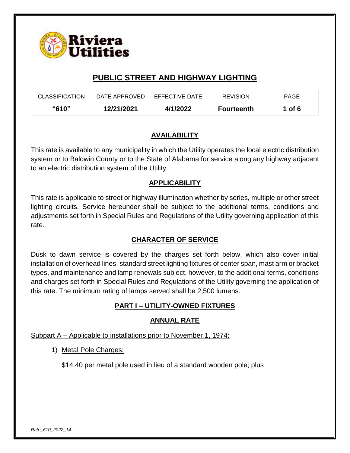

| <b>CLASSIFICATION</b> | DATE APPROVED | EFFECTIVE DATE | <b>REVISION</b>   | <b>PAGE</b> |
|-----------------------|---------------|----------------|-------------------|-------------|
| "610"                 | 12/21/2021    | 4/1/2022       | <b>Fourteenth</b> | 1 of $6$    |

## **AVAILABILITY**

This rate is available to any municipality in which the Utility operates the local electric distribution system or to Baldwin County or to the State of Alabama for service along any highway adjacent to an electric distribution system of the Utility.

## **APPLICABILITY**

This rate is applicable to street or highway illumination whether by series, multiple or other street lighting circuits. Service hereunder shall be subject to the additional terms, conditions and adjustments set forth in Special Rules and Regulations of the Utility governing application of this rate.

## **CHARACTER OF SERVICE**

Dusk to dawn service is covered by the charges set forth below, which also cover initial installation of overhead lines, standard street lighting fixtures of center span, mast arm or bracket types, and maintenance and lamp renewals subject, however, to the additional terms, conditions and charges set forth in Special Rules and Regulations of the Utility governing the application of this rate. The minimum rating of lamps served shall be 2,500 lumens.

## **PART I – UTILITY-OWNED FIXTURES**

### **ANNUAL RATE**

Subpart A – Applicable to installations prior to November 1, 1974:

1) Metal Pole Charges:

\$14.40 per metal pole used in lieu of a standard wooden pole; plus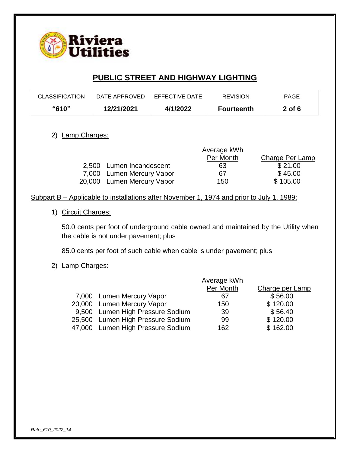

| <b>CLASSIFICATION</b> | DATE APPROVED | EFFECTIVE DATE | <b>REVISION</b>   | <b>PAGE</b> |
|-----------------------|---------------|----------------|-------------------|-------------|
| "610"                 | 12/21/2021    | 4/1/2022       | <b>Fourteenth</b> | $2$ of 6    |

### 2) Lamp Charges:

|                            | Average kWh |                 |  |
|----------------------------|-------------|-----------------|--|
|                            | Per Month   | Charge Per Lamp |  |
| 2,500 Lumen Incandescent   | 63          | \$21.00         |  |
| 7,000 Lumen Mercury Vapor  | 67          | \$45.00         |  |
| 20,000 Lumen Mercury Vapor | 150         | \$105.00        |  |

### Subpart B – Applicable to installations after November 1, 1974 and prior to July 1, 1989:

### 1) Circuit Charges:

50.0 cents per foot of underground cable owned and maintained by the Utility when the cable is not under pavement; plus

85.0 cents per foot of such cable when cable is under pavement; plus

#### 2) Lamp Charges:

| Average kWh                                                                                                                                                           |                 |
|-----------------------------------------------------------------------------------------------------------------------------------------------------------------------|-----------------|
| Per Month                                                                                                                                                             | Charge per Lamp |
| 67                                                                                                                                                                    | \$56.00         |
| 150                                                                                                                                                                   | \$120.00        |
| 39                                                                                                                                                                    | \$56.40         |
| 99                                                                                                                                                                    | \$120.00        |
| 162                                                                                                                                                                   | \$162.00        |
| 7,000 Lumen Mercury Vapor<br>20,000 Lumen Mercury Vapor<br>9,500 Lumen High Pressure Sodium<br>25,500 Lumen High Pressure Sodium<br>47,000 Lumen High Pressure Sodium |                 |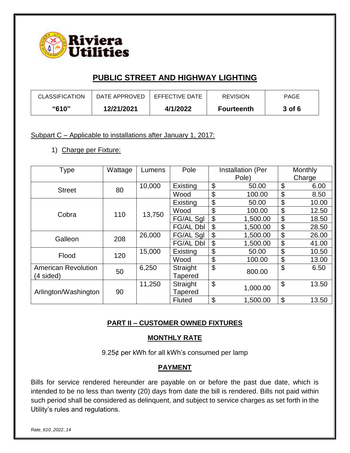

| <b>CLASSIFICATION</b> | DATE APPROVED | EFFECTIVE DATE | <b>REVISION</b>   | <b>PAGE</b> |
|-----------------------|---------------|----------------|-------------------|-------------|
| <b>"610"</b>          | 12/21/2021    | 4/1/2022       | <b>Fourteenth</b> | 3 of 6      |

Subpart C – Applicable to installations after January 1, 2017:

1) Charge per Fixture:

| Type                       | Wattage | Lumens | Pole             |                           | Installation (Per | Monthly     |
|----------------------------|---------|--------|------------------|---------------------------|-------------------|-------------|
|                            |         |        |                  |                           | Pole)             | Charge      |
| <b>Street</b>              | 80      | 10,000 | Existing         | \$                        | 50.00             | \$<br>6.00  |
|                            |         |        | Wood             | \$                        | 100.00            | \$<br>8.50  |
|                            |         |        | Existing         | \$                        | 50.00             | \$<br>10.00 |
| Cobra                      | 110     | 13,750 | Wood             | \$                        | 100.00            | \$<br>12.50 |
|                            |         |        | FG/AL Sgl        | \$                        | 1,500.00          | \$<br>18.50 |
|                            |         |        | <b>FG/AL Dbl</b> | \$                        | 1,500.00          | \$<br>28.50 |
| Galleon                    | 208     | 26,000 | FG/AL Sql        | \$                        | 1,500.00          | \$<br>26.00 |
|                            |         |        | <b>FG/AL Dbl</b> | \$                        | 1,500.00          | \$<br>41.00 |
| Flood                      | 120     | 15,000 | Existing         | \$                        | 50.00             | \$<br>10.50 |
|                            |         |        | Wood             | \$                        | 100.00            | \$<br>13.00 |
| <b>American Revolution</b> | 50      | 6,250  | Straight         | \$                        | 800.00            | \$<br>6.50  |
| (4 sided)                  |         |        | <b>Tapered</b>   |                           |                   |             |
|                            |         | 11,250 | Straight         | $\boldsymbol{\mathsf{S}}$ | 1,000.00          | \$<br>13.50 |
| Arlington/Washington       | 90      |        | Tapered          |                           |                   |             |
|                            |         |        | <b>Fluted</b>    | \$                        | 1,500.00          | \$<br>13.50 |

## **PART II – CUSTOMER OWNED FIXTURES**

### **MONTHLY RATE**

9.25¢ per kWh for all kWh's consumed per lamp

### **PAYMENT**

Bills for service rendered hereunder are payable on or before the past due date, which is intended to be no less than twenty (20) days from date the bill is rendered. Bills not paid within such period shall be considered as delinquent, and subject to service charges as set forth in the Utility's rules and regulations.

*Rate\_610\_2022\_14*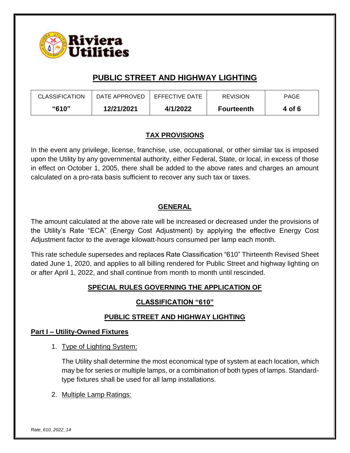

| <b>CLASSIFICATION</b> | DATE APPROVED | EFFECTIVE DATE | <b>REVISION</b>   | <b>PAGE</b> |
|-----------------------|---------------|----------------|-------------------|-------------|
| "610"                 | 12/21/2021    | 4/1/2022       | <b>Fourteenth</b> | 4 of 6      |

## **TAX PROVISIONS**

In the event any privilege, license, franchise, use, occupational, or other similar tax is imposed upon the Utility by any governmental authority, either Federal, State, or local, in excess of those in effect on October 1, 2005, there shall be added to the above rates and charges an amount calculated on a pro-rata basis sufficient to recover any such tax or taxes.

## **GENERAL**

The amount calculated at the above rate will be increased or decreased under the provisions of the Utility's Rate "ECA" (Energy Cost Adjustment) by applying the effective Energy Cost Adjustment factor to the average kilowatt-hours consumed per lamp each month.

This rate schedule supersedes and replaces Rate Classification "610" Thirteenth Revised Sheet dated June 1, 2020, and applies to all billing rendered for Public Street and highway lighting on or after April 1, 2022, and shall continue from month to month until rescinded.

## **SPECIAL RULES GOVERNING THE APPLICATION OF**

## **CLASSIFICATION "610"**

## **PUBLIC STREET AND HIGHWAY LIGHTING**

### **Part I – Utility-Owned Fixtures**

1. Type of Lighting System:

The Utility shall determine the most economical type of system at each location, which may be for series or multiple lamps, or a combination of both types of lamps. Standardtype fixtures shall be used for all lamp installations.

2. Multiple Lamp Ratings: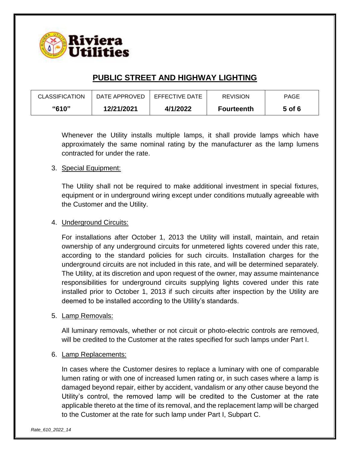

| <b>CLASSIFICATION</b> | DATE APPROVED | EFFECTIVE DATE | <b>REVISION</b>   | <b>PAGE</b> |
|-----------------------|---------------|----------------|-------------------|-------------|
| "610"                 | 12/21/2021    | 4/1/2022       | <b>Fourteenth</b> | 5 of 6      |

Whenever the Utility installs multiple lamps, it shall provide lamps which have approximately the same nominal rating by the manufacturer as the lamp lumens contracted for under the rate.

### 3. Special Equipment:

The Utility shall not be required to make additional investment in special fixtures, equipment or in underground wiring except under conditions mutually agreeable with the Customer and the Utility.

### 4. Underground Circuits:

For installations after October 1, 2013 the Utility will install, maintain, and retain ownership of any underground circuits for unmetered lights covered under this rate, according to the standard policies for such circuits. Installation charges for the underground circuits are not included in this rate, and will be determined separately. The Utility, at its discretion and upon request of the owner, may assume maintenance responsibilities for underground circuits supplying lights covered under this rate installed prior to October 1, 2013 if such circuits after inspection by the Utility are deemed to be installed according to the Utility's standards.

#### 5. Lamp Removals:

All luminary removals, whether or not circuit or photo-electric controls are removed, will be credited to the Customer at the rates specified for such lamps under Part I.

#### 6. Lamp Replacements:

In cases where the Customer desires to replace a luminary with one of comparable lumen rating or with one of increased lumen rating or, in such cases where a lamp is damaged beyond repair, either by accident, vandalism or any other cause beyond the Utility's control, the removed lamp will be credited to the Customer at the rate applicable thereto at the time of its removal, and the replacement lamp will be charged to the Customer at the rate for such lamp under Part I, Subpart C.